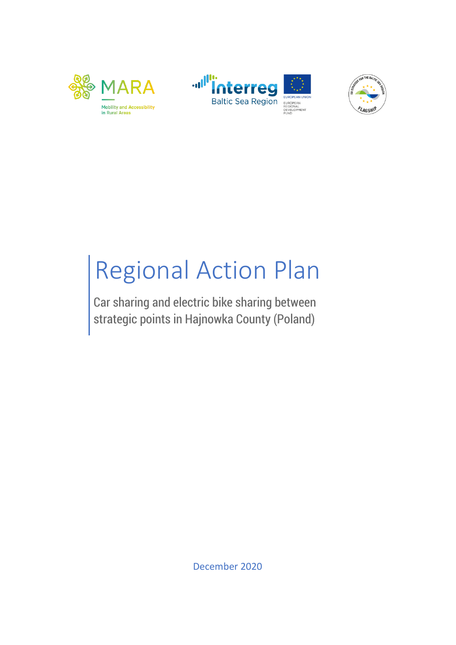





# Regional Action Plan

Car sharing and electric bike sharing between strategic points in Hajnowka County (Poland)

December 2020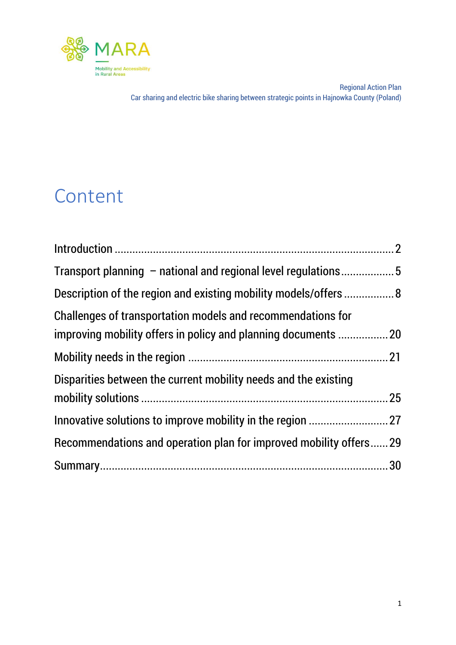

# Content

| Transport planning – national and regional level regulations5     |  |
|-------------------------------------------------------------------|--|
| Description of the region and existing mobility models/offers  8  |  |
| Challenges of transportation models and recommendations for       |  |
|                                                                   |  |
|                                                                   |  |
| Disparities between the current mobility needs and the existing   |  |
|                                                                   |  |
|                                                                   |  |
| Recommendations and operation plan for improved mobility offers29 |  |
|                                                                   |  |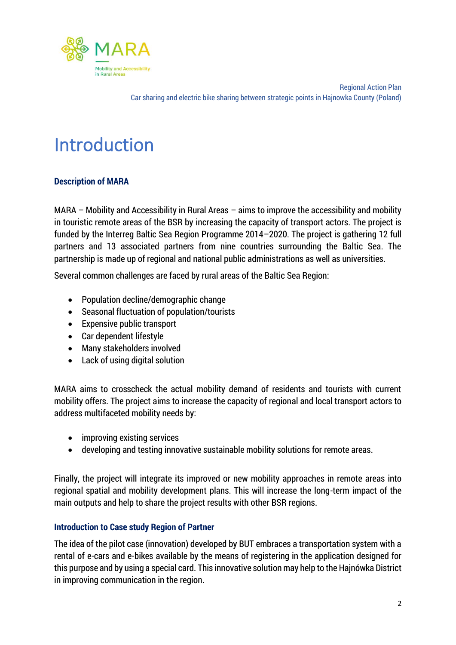

## <span id="page-2-0"></span>Introduction

#### **Description of MARA**

MARA – Mobility and Accessibility in Rural Areas – aims to improve the accessibility and mobility in touristic remote areas of the BSR by increasing the capacity of transport actors. The project is funded by the Interreg Baltic Sea Region Programme 2014–2020. The project is gathering 12 full partners and 13 associated partners from nine countries surrounding the Baltic Sea. The partnership is made up of regional and national public administrations as well as universities.

Several common challenges are faced by rural areas of the Baltic Sea Region:

- Population decline/demographic change
- Seasonal fluctuation of population/tourists
- Expensive public transport
- Car dependent lifestyle
- Many stakeholders involved
- Lack of using digital solution

MARA aims to crosscheck the actual mobility demand of residents and tourists with current mobility offers. The project aims to increase the capacity of regional and local transport actors to address multifaceted mobility needs by:

- improving existing services
- developing and testing innovative sustainable mobility solutions for remote areas.

Finally, the project will integrate its improved or new mobility approaches in remote areas into regional spatial and mobility development plans. This will increase the long-term impact of the main outputs and help to share the project results with other BSR regions.

#### **Introduction to Case study Region of Partner**

The idea of the pilot case (innovation) developed by BUT embraces a transportation system with a rental of e-cars and e-bikes available by the means of registering in the application designed for this purpose and by using a special card. This innovative solution may help to the Hajnówka District in improving communication in the region.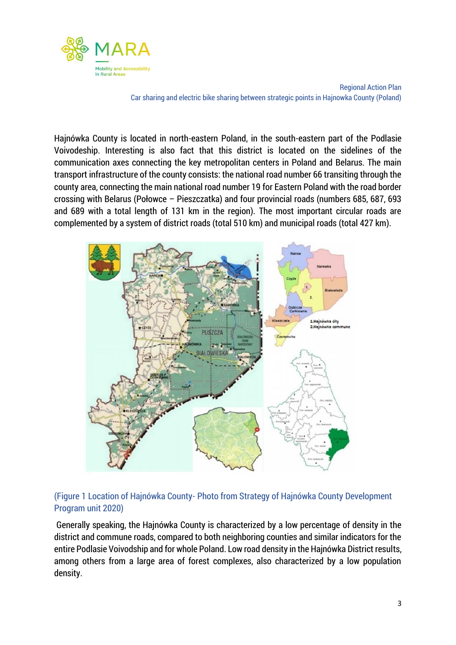

Hajnówka County is located in north-eastern Poland, in the south-eastern part of the Podlasie Voivodeship. Interesting is also fact that this district is located on the sidelines of the communication axes connecting the key metropolitan centers in Poland and Belarus. The main transport infrastructure of the county consists: the national road number 66 transiting through the county area, connecting the main national road number 19 for Eastern Poland with the road border crossing with Belarus (Połowce – Pieszczatka) and four provincial roads (numbers 685, 687, 693 and 689 with a total length of 131 km in the region). The most important circular roads are complemented by a system of district roads (total 510 km) and municipal roads (total 427 km).



#### (Figure 1 Location of Hajnówka County- Photo from Strategy of Hajnówka County Development Program unit 2020)

Generally speaking, the Hajnówka County is characterized by a low percentage of density in the district and commune roads, compared to both neighboring counties and similar indicators for the entire Podlasie Voivodship and for whole Poland. Low road density in the Hajnówka District results, among others from a large area of forest complexes, also characterized by a low population density.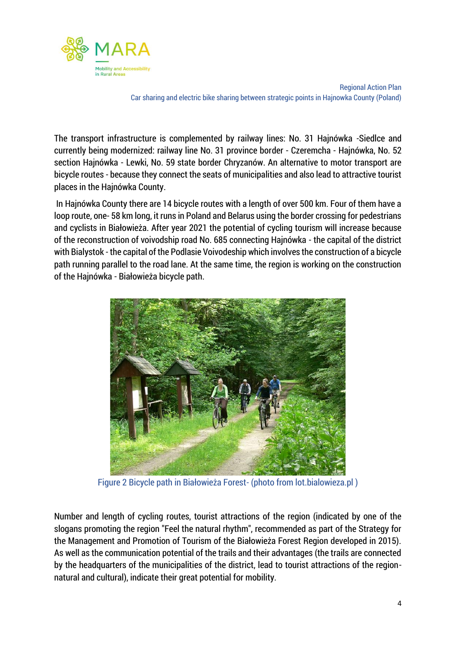

The transport infrastructure is complemented by railway lines: No. 31 Hajnówka -Siedlce and currently being modernized: railway line No. 31 province border - Czeremcha - Hajnówka, No. 52 section Hajnówka - Lewki, No. 59 state border Chryzanów. An alternative to motor transport are bicycle routes - because they connect the seats of municipalities and also lead to attractive tourist places in the Hajnówka County.

In Hajnówka County there are 14 bicycle routes with a length of over 500 km. Four of them have a loop route, one- 58 km long, it runs in Poland and Belarus using the border crossing for pedestrians and cyclists in Białowieża. After year 2021 the potential of cycling tourism will increase because of the reconstruction of voivodship road No. 685 connecting Hajnówka - the capital of the district with Bialystok - the capital of the Podlasie Voivodeship which involves the construction of a bicycle path running parallel to the road lane. At the same time, the region is working on the construction of the Hajnówka - Białowieża bicycle path.



Figure 2 Bicycle path in Białowieża Forest- (photo from lot.bialowieza.pl )

Number and length of cycling routes, tourist attractions of the region (indicated by one of the slogans promoting the region "Feel the natural rhythm", recommended as part of the Strategy for the Management and Promotion of Tourism of the Białowieża Forest Region developed in 2015). As well as the communication potential of the trails and their advantages (the trails are connected by the headquarters of the municipalities of the district, lead to tourist attractions of the regionnatural and cultural), indicate their great potential for mobility.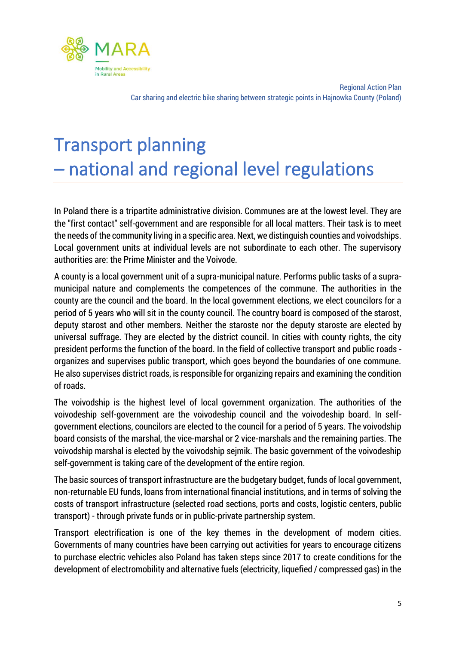

# <span id="page-5-0"></span>Transport planning – national and regional level regulations

In Poland there is a tripartite administrative division. Communes are at the lowest level. They are the "first contact" self-government and are responsible for all local matters. Their task is to meet the needs of the community living in a specific area. Next, we distinguish counties and voivodships. Local government units at individual levels are not subordinate to each other. The supervisory authorities are: the Prime Minister and the Voivode.

A county is a local government unit of a supra-municipal nature. Performs public tasks of a supramunicipal nature and complements the competences of the commune. The authorities in the county are the council and the board. In the local government elections, we elect councilors for a period of 5 years who will sit in the county council. The country board is composed of the starost, deputy starost and other members. Neither the staroste nor the deputy staroste are elected by universal suffrage. They are elected by the district council. In cities with county rights, the city president performs the function of the board. In the field of collective transport and public roads organizes and supervises public transport, which goes beyond the boundaries of one commune. He also supervises district roads, is responsible for organizing repairs and examining the condition of roads.

The voivodship is the highest level of local government organization. The authorities of the voivodeship self-government are the voivodeship council and the voivodeship board. In selfgovernment elections, councilors are elected to the council for a period of 5 years. The voivodship board consists of the marshal, the vice-marshal or 2 vice-marshals and the remaining parties. The voivodship marshal is elected by the voivodship sejmik. The basic government of the voivodeship self-government is taking care of the development of the entire region.

The basic sources of transport infrastructure are the budgetary budget, funds of local government, non-returnable EU funds, loans from international financial institutions, and in terms of solving the costs of transport infrastructure (selected road sections, ports and costs, logistic centers, public transport) - through private funds or in public-private partnership system.

Transport electrification is one of the key themes in the development of modern cities. Governments of many countries have been carrying out activities for years to encourage citizens to purchase electric vehicles also Poland has taken steps since 2017 to create conditions for the development of electromobility and alternative fuels (electricity, liquefied / compressed gas) in the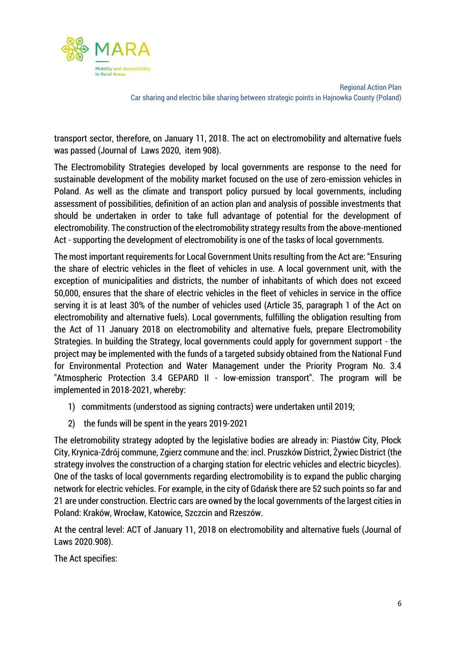

transport sector, therefore, on January 11, 2018. The act on electromobility and alternative fuels was passed (Journal of Laws 2020, item 908).

The Electromobility Strategies developed by local governments are response to the need for sustainable development of the mobility market focused on the use of zero-emission vehicles in Poland. As well as the climate and transport policy pursued by local governments, including assessment of possibilities, definition of an action plan and analysis of possible investments that should be undertaken in order to take full advantage of potential for the development of electromobility. The construction of the electromobility strategy results from the above-mentioned Act - supporting the development of electromobility is one of the tasks of local governments.

The most important requirements for Local Government Units resulting from the Act are: "Ensuring the share of electric vehicles in the fleet of vehicles in use. A local government unit, with the exception of municipalities and districts, the number of inhabitants of which does not exceed 50,000, ensures that the share of electric vehicles in the fleet of vehicles in service in the office serving it is at least 30% of the number of vehicles used (Article 35, paragraph 1 of the Act on electromobility and alternative fuels). Local governments, fulfilling the obligation resulting from the Act of 11 January 2018 on electromobility and alternative fuels, prepare Electromobility Strategies. In building the Strategy, local governments could apply for government support - the project may be implemented with the funds of a targeted subsidy obtained from the National Fund for Environmental Protection and Water Management under the Priority Program No. 3.4 "Atmospheric Protection 3.4 GEPARD II - low-emission transport". The program will be implemented in 2018-2021, whereby:

- 1) commitments (understood as signing contracts) were undertaken until 2019;
- 2) the funds will be spent in the years 2019-2021

The eletromobility strategy adopted by the legislative bodies are already in: Piastów City, Płock City, Krynica-Zdrój commune, Zgierz commune and the: incl. Pruszków District, Żywiec District (the strategy involves the construction of a charging station for electric vehicles and electric bicycles). One of the tasks of local governments regarding electromobility is to expand the public charging network for electric vehicles. For example, in the city of Gdańsk there are 52 such points so far and 21 are under construction. Electric cars are owned by the local governments of the largest cities in Poland: Kraków, Wrocław, Katowice, Szczcin and Rzeszów.

At the central level: ACT of January 11, 2018 on electromobility and alternative fuels (Journal of Laws 2020.908).

The Act specifies: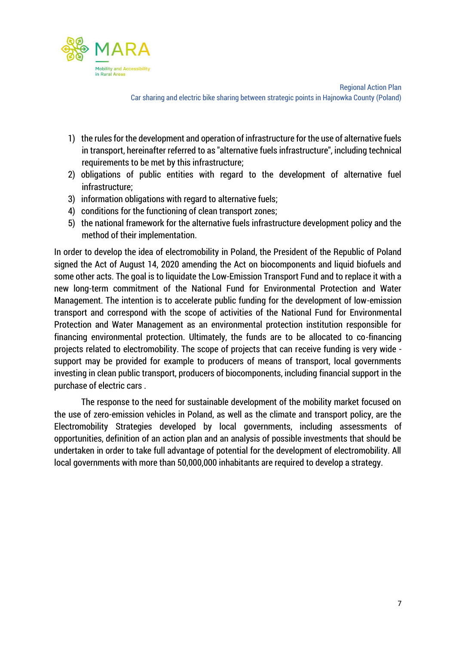

- 1) the rules for the development and operation of infrastructure for the use of alternative fuels in transport, hereinafter referred to as "alternative fuels infrastructure", including technical requirements to be met by this infrastructure;
- 2) obligations of public entities with regard to the development of alternative fuel infrastructure;
- 3) information obligations with regard to alternative fuels;
- 4) conditions for the functioning of clean transport zones;
- 5) the national framework for the alternative fuels infrastructure development policy and the method of their implementation.

In order to develop the idea of electromobility in Poland, the President of the Republic of Poland signed the Act of August 14, 2020 amending the Act on biocomponents and liquid biofuels and some other acts. The goal is to liquidate the Low-Emission Transport Fund and to replace it with a new long-term commitment of the National Fund for Environmental Protection and Water Management. The intention is to accelerate public funding for the development of low-emission transport and correspond with the scope of activities of the National Fund for Environmental Protection and Water Management as an environmental protection institution responsible for financing environmental protection. Ultimately, the funds are to be allocated to co-financing projects related to electromobility. The scope of projects that can receive funding is very wide support may be provided for example to producers of means of transport, local governments investing in clean public transport, producers of biocomponents, including financial support in the purchase of electric cars .

The response to the need for sustainable development of the mobility market focused on the use of zero-emission vehicles in Poland, as well as the climate and transport policy, are the Electromobility Strategies developed by local governments, including assessments of opportunities, definition of an action plan and an analysis of possible investments that should be undertaken in order to take full advantage of potential for the development of electromobility. All local governments with more than 50,000,000 inhabitants are required to develop a strategy.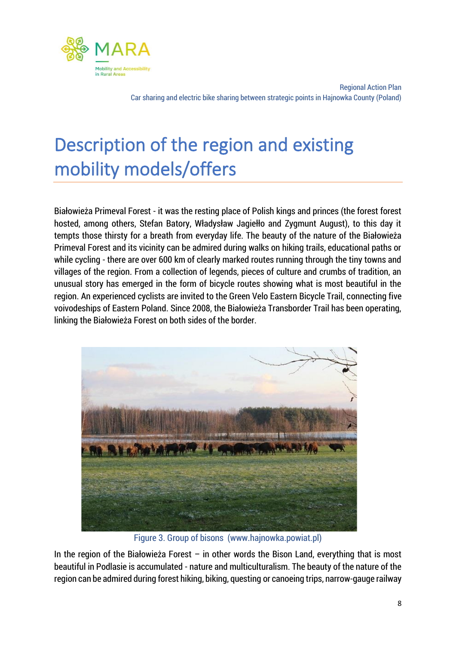

# <span id="page-8-0"></span>Description of the region and existing mobility models/offers

Białowieża Primeval Forest - it was the resting place of Polish kings and princes (the forest forest hosted, among others, Stefan Batory, Władysław Jagiełło and Zygmunt August), to this day it tempts those thirsty for a breath from everyday life. The beauty of the nature of the Białowieża Primeval Forest and its vicinity can be admired during walks on hiking trails, educational paths or while cycling - there are over 600 km of clearly marked routes running through the tiny towns and villages of the region. From a collection of legends, pieces of culture and crumbs of tradition, an unusual story has emerged in the form of bicycle routes showing what is most beautiful in the region. An experienced cyclists are invited to the Green Velo Eastern Bicycle Trail, connecting five voivodeships of Eastern Poland. Since 2008, the Białowieża Transborder Trail has been operating, linking the Białowieża Forest on both sides of the border.



Figure 3. Group of bisons (www.hajnowka.powiat.pl)

In the region of the Białowieża Forest – in other words the Bison Land, everything that is most beautiful in Podlasie is accumulated - nature and multiculturalism. The beauty of the nature of the region can be admired during forest hiking, biking, questing or canoeing trips, narrow-gauge railway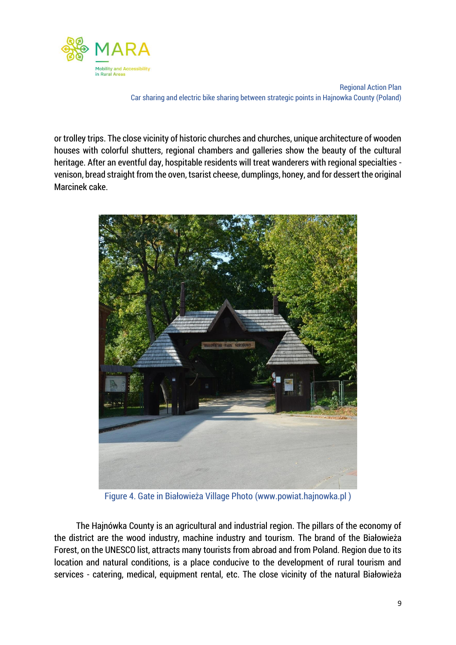

or trolley trips. The close vicinity of historic churches and churches, unique architecture of wooden houses with colorful shutters, regional chambers and galleries show the beauty of the cultural heritage. After an eventful day, hospitable residents will treat wanderers with regional specialties venison, bread straight from the oven, tsarist cheese, dumplings, honey, and for dessert the original Marcinek cake.



Figure 4. Gate in Białowieża Village Photo (www.powiat.hajnowka.pl )

 The Hajnówka County is an agricultural and industrial region. The pillars of the economy of the district are the wood industry, machine industry and tourism. The brand of the Białowieża Forest, on the UNESCO list, attracts many tourists from abroad and from Poland. Region due to its location and natural conditions, is a place conducive to the development of rural tourism and services - catering, medical, equipment rental, etc. The close vicinity of the natural Białowieża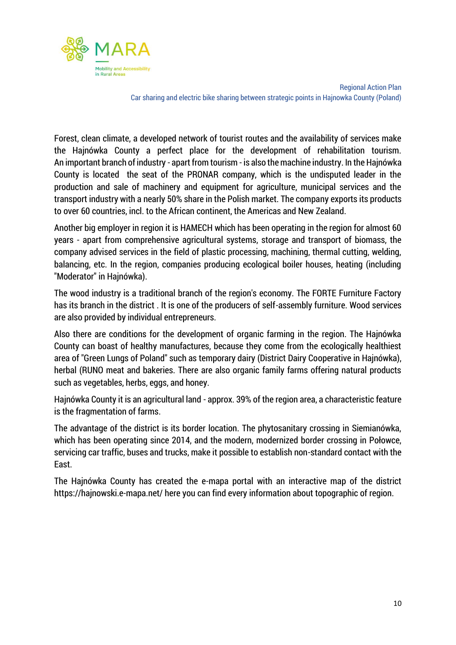

Forest, clean climate, a developed network of tourist routes and the availability of services make the Hajnówka County a perfect place for the development of rehabilitation tourism. An important branch of industry - apart from tourism - is also the machine industry. In the Hajnówka County is located the seat of the PRONAR company, which is the undisputed leader in the production and sale of machinery and equipment for agriculture, municipal services and the transport industry with a nearly 50% share in the Polish market. The company exports its products to over 60 countries, incl. to the African continent, the Americas and New Zealand.

Another big employer in region it is HAMECH which has been operating in the region for almost 60 years - apart from comprehensive agricultural systems, storage and transport of biomass, the company advised services in the field of plastic processing, machining, thermal cutting, welding, balancing, etc. In the region, companies producing ecological boiler houses, heating (including "Moderator" in Hajnówka).

The wood industry is a traditional branch of the region's economy. The FORTE Furniture Factory has its branch in the district . It is one of the producers of self-assembly furniture. Wood services are also provided by individual entrepreneurs.

Also there are conditions for the development of organic farming in the region. The Hajnówka County can boast of healthy manufactures, because they come from the ecologically healthiest area of "Green Lungs of Poland" such as temporary dairy (District Dairy Cooperative in Hajnówka), herbal (RUNO meat and bakeries. There are also organic family farms offering natural products such as vegetables, herbs, eggs, and honey.

Hajnówka County it is an agricultural land - approx. 39% of the region area, a characteristic feature is the fragmentation of farms.

The advantage of the district is its border location. The phytosanitary crossing in Siemianówka, which has been operating since 2014, and the modern, modernized border crossing in Połowce, servicing car traffic, buses and trucks, make it possible to establish non-standard contact with the East.

The Hajnówka County has created the e-mapa portal with an interactive map of the district https://hajnowski.e-mapa.net/ here you can find every information about topographic of region.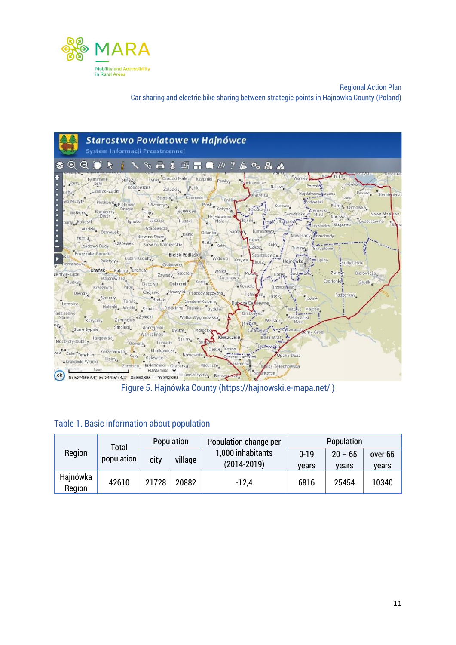



|  |  |  | <b>Table 1. Basic information about population</b> |
|--|--|--|----------------------------------------------------|
|  |  |  |                                                    |

|                    | Total      |       | Population | Population change per | <b>Population</b> |           |              |  |  |
|--------------------|------------|-------|------------|-----------------------|-------------------|-----------|--------------|--|--|
| Region             | population | city  | village    | 1,000 inhabitants     | $0 - 19$          | $20 - 65$ | over 65      |  |  |
|                    |            |       |            | $(2014 - 2019)$       | vears             | vears     | <b>vears</b> |  |  |
| Hajnówka<br>Region | 42610      | 21728 | 20882      | $-12.4$               | 6816              | 25454     | 10340        |  |  |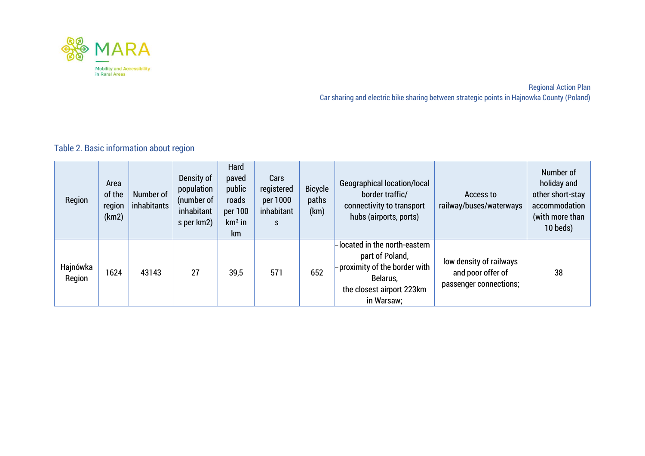

Table 2. Basic information about region

| Region             | Area<br>of the<br>region<br>(km2) | Number of<br>inhabitants | Density of<br>population<br>(number of<br>inhabitant<br>s per km2) | Hard<br>paved<br>public<br>roads<br>per 100<br>$km2$ in<br>km | Cars<br>registered<br>per 1000<br>inhabitant<br>S. | <b>Bicycle</b><br>paths<br>(km) | <b>Geographical location/local</b><br>border traffic/<br>connectivity to transport<br>hubs (airports, ports)                           | Access to<br>railway/buses/waterways                                   | Number of<br>holiday and<br>other short-stay<br>accommodation<br>(with more than<br>10 beds) |
|--------------------|-----------------------------------|--------------------------|--------------------------------------------------------------------|---------------------------------------------------------------|----------------------------------------------------|---------------------------------|----------------------------------------------------------------------------------------------------------------------------------------|------------------------------------------------------------------------|----------------------------------------------------------------------------------------------|
| Hajnówka<br>Region | 1624                              | 43143                    | 27                                                                 | 39,5                                                          | 571                                                | 652                             | located in the north-eastern<br>part of Poland,<br>proximity of the border with<br>Belarus,<br>the closest airport 223km<br>in Warsaw; | low density of railways<br>and poor offer of<br>passenger connections; | 38                                                                                           |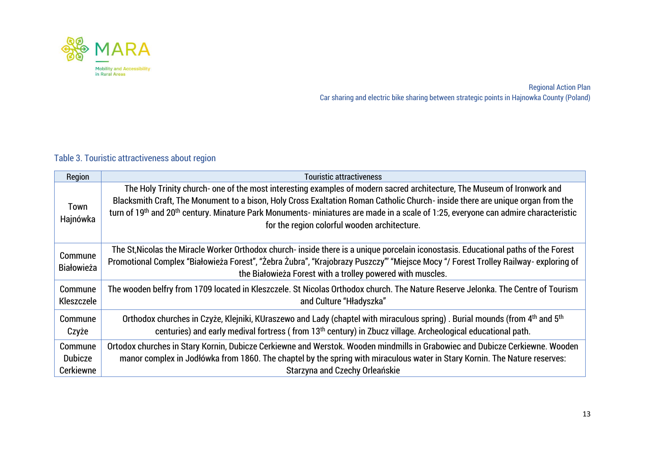

#### Table 3. Touristic attractiveness about region

| Region                       | Touristic attractiveness                                                                                                                                                                                                                                                                                                                                                                                                                                               |
|------------------------------|------------------------------------------------------------------------------------------------------------------------------------------------------------------------------------------------------------------------------------------------------------------------------------------------------------------------------------------------------------------------------------------------------------------------------------------------------------------------|
| Town<br>Hajnówka             | The Holy Trinity church- one of the most interesting examples of modern sacred architecture, The Museum of Ironwork and<br>Blacksmith Craft, The Monument to a bison, Holy Cross Exaltation Roman Catholic Church- inside there are unique organ from the<br>turn of 19 <sup>th</sup> and 20 <sup>th</sup> century. Minature Park Monuments-miniatures are made in a scale of 1:25, everyone can admire characteristic<br>for the region colorful wooden architecture. |
| Commune<br><b>Białowieża</b> | The St, Nicolas the Miracle Worker Orthodox church- inside there is a unique porcelain iconostasis. Educational paths of the Forest<br>Promotional Complex "Białowieża Forest", "Żebra Żubra", "Krajobrazy Puszczy" "Miejsce Mocy "/ Forest Trolley Railway- exploring of<br>the Białowieża Forest with a trolley powered with muscles.                                                                                                                                |
| Commune                      | The wooden belfry from 1709 located in Kleszczele. St Nicolas Orthodox church. The Nature Reserve Jelonka. The Centre of Tourism                                                                                                                                                                                                                                                                                                                                       |
| Kleszczele                   | and Culture "Hładyszka"                                                                                                                                                                                                                                                                                                                                                                                                                                                |
| Commune                      | Orthodox churches in Czyże, Klejniki, KUraszewo and Lady (chaptel with miraculous spring). Burial mounds (from 4 <sup>th</sup> and 5 <sup>th</sup>                                                                                                                                                                                                                                                                                                                     |
| Czyże                        | centuries) and early medival fortress (from 13 <sup>th</sup> century) in Zbucz village. Archeological educational path.                                                                                                                                                                                                                                                                                                                                                |
| Commune                      | Ortodox churches in Stary Kornin, Dubicze Cerkiewne and Werstok. Wooden mindmills in Grabowiec and Dubicze Cerkiewne. Wooden                                                                                                                                                                                                                                                                                                                                           |
| <b>Dubicze</b>               | manor complex in Jodłówka from 1860. The chaptel by the spring with miraculous water in Stary Kornin. The Nature reserves:                                                                                                                                                                                                                                                                                                                                             |
| Cerkiewne                    | Starzyna and Czechy Orleańskie                                                                                                                                                                                                                                                                                                                                                                                                                                         |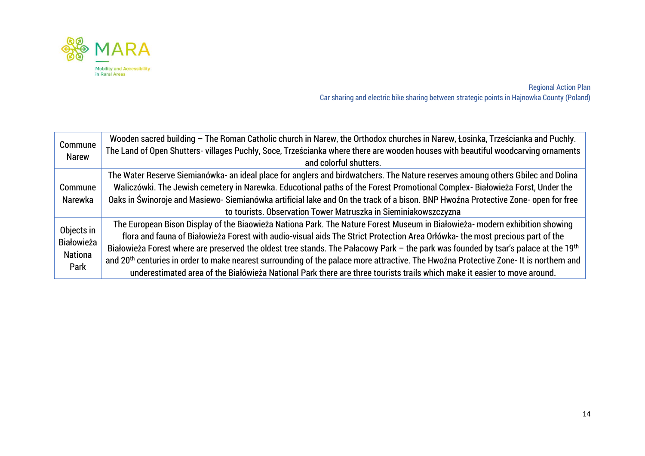

| Commune<br><b>Narew</b>             | Wooden sacred building - The Roman Catholic church in Narew, the Orthodox churches in Narew, Łosinka, Trześcianka and Puchły.<br>The Land of Open Shutters- villages Puchły, Soce, Trześcianka where there are wooden houses with beautiful woodcarving ornaments<br>and colorful shutters. |
|-------------------------------------|---------------------------------------------------------------------------------------------------------------------------------------------------------------------------------------------------------------------------------------------------------------------------------------------|
|                                     | The Water Reserve Siemianówka- an ideal place for anglers and birdwatchers. The Nature reserves amoung others Gbilec and Dolina                                                                                                                                                             |
| Commune                             | Waliczówki. The Jewish cemetery in Narewka. Educotional paths of the Forest Promotional Complex-Białowieża Forst, Under the                                                                                                                                                                 |
| Narewka                             | Oaks in Świnoroje and Masiewo-Siemianówka artificial lake and On the track of a bison. BNP Hwoźna Protective Zone- open for free                                                                                                                                                            |
|                                     | to tourists. Observation Tower Matruszka in Sieminiakowszczyzna                                                                                                                                                                                                                             |
| Objects in                          | The European Bison Display of the Biaowieża Nationa Park. The Nature Forest Museum in Białowieża- modern exhibition showing                                                                                                                                                                 |
| <b>Białowieża</b><br><b>Nationa</b> | flora and fauna of Białowieża Forest with audio-visual aids The Strict Protection Area Orłówka- the most precious part of the                                                                                                                                                               |
|                                     | Białowieża Forest where are preserved the oldest tree stands. The Pałacowy Park – the park was founded by tsar's palace at the 19th                                                                                                                                                         |
|                                     | and 20 <sup>th</sup> centuries in order to make nearest surrounding of the palace more attractive. The Hwoźna Protective Zone- It is northern and                                                                                                                                           |
| Park                                | underestimated area of the Białówieża National Park there are three tourists trails which make it easier to move around.                                                                                                                                                                    |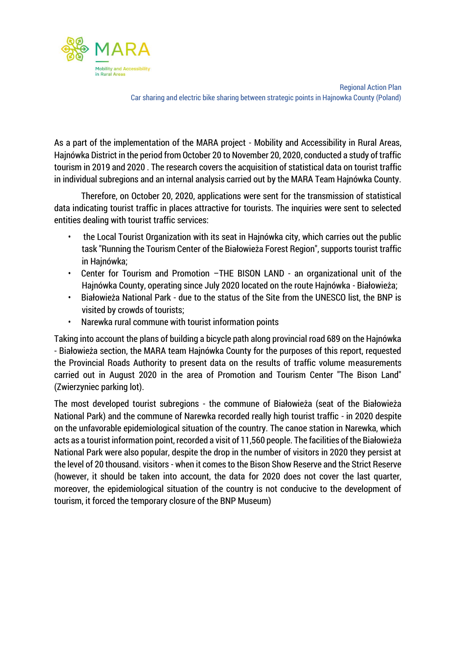

As a part of the implementation of the MARA project - Mobility and Accessibility in Rural Areas, Hajnówka District in the period from October 20 to November 20, 2020, conducted a study of traffic tourism in 2019 and 2020 . The research covers the acquisition of statistical data on tourist traffic in individual subregions and an internal analysis carried out by the MARA Team Hajnówka County.

Therefore, on October 20, 2020, applications were sent for the transmission of statistical data indicating tourist traffic in places attractive for tourists. The inquiries were sent to selected entities dealing with tourist traffic services:

- the Local Tourist Organization with its seat in Hajnówka city, which carries out the public task "Running the Tourism Center of the Białowieża Forest Region", supports tourist traffic in Hajnówka;
- Center for Tourism and Promotion –THE BISON LAND an organizational unit of the Hajnówka County, operating since July 2020 located on the route Hajnówka - Białowieża;
- Białowieża National Park due to the status of the Site from the UNESCO list, the BNP is visited by crowds of tourists;
- Narewka rural commune with tourist information points

Taking into account the plans of building a bicycle path along provincial road 689 on the Hajnówka - Białowieża section, the MARA team Hajnówka County for the purposes of this report, requested the Provincial Roads Authority to present data on the results of traffic volume measurements carried out in August 2020 in the area of Promotion and Tourism Center "The Bison Land" (Zwierzyniec parking lot).

The most developed tourist subregions - the commune of Białowieża (seat of the Białowieża National Park) and the commune of Narewka recorded really high tourist traffic - in 2020 despite on the unfavorable epidemiological situation of the country. The canoe station in Narewka, which acts as a tourist information point, recorded a visit of 11,560 people. The facilities of the Białowieża National Park were also popular, despite the drop in the number of visitors in 2020 they persist at the level of 20 thousand. visitors - when it comes to the Bison Show Reserve and the Strict Reserve (however, it should be taken into account, the data for 2020 does not cover the last quarter, moreover, the epidemiological situation of the country is not conducive to the development of tourism, it forced the temporary closure of the BNP Museum)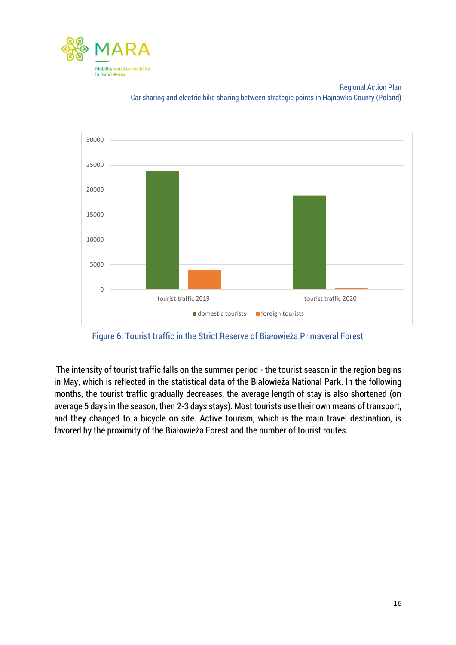



Figure 6. Tourist traffic in the Strict Reserve of Białowieża Primaveral Forest

The intensity of tourist traffic falls on the summer period - the tourist season in the region begins in May, which is reflected in the statistical data of the Białowieża National Park. In the following months, the tourist traffic gradually decreases, the average length of stay is also shortened (on average 5 days in the season, then 2-3 days stays). Most tourists use their own means of transport, and they changed to a bicycle on site. Active tourism, which is the main travel destination, is favored by the proximity of the Białowieża Forest and the number of tourist routes.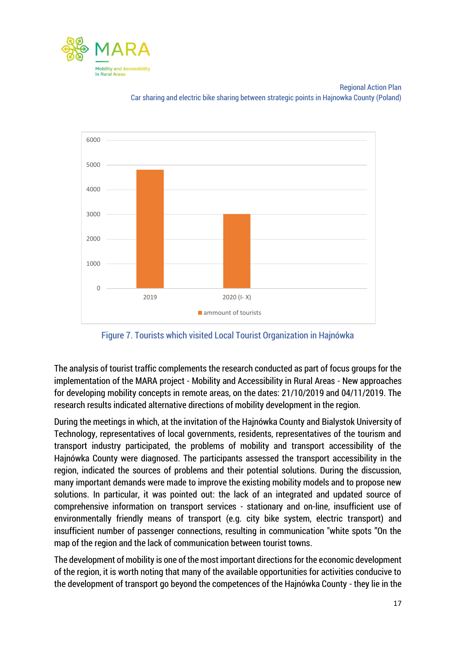



Figure 7. Tourists which visited Local Tourist Organization in Hajnówka

The analysis of tourist traffic complements the research conducted as part of focus groups for the implementation of the MARA project - Mobility and Accessibility in Rural Areas - New approaches for developing mobility concepts in remote areas, on the dates: 21/10/2019 and 04/11/2019. The research results indicated alternative directions of mobility development in the region.

During the meetings in which, at the invitation of the Hajnówka County and Bialystok University of Technology, representatives of local governments, residents, representatives of the tourism and transport industry participated, the problems of mobility and transport accessibility of the Hajnówka County were diagnosed. The participants assessed the transport accessibility in the region, indicated the sources of problems and their potential solutions. During the discussion, many important demands were made to improve the existing mobility models and to propose new solutions. In particular, it was pointed out: the lack of an integrated and updated source of comprehensive information on transport services - stationary and on-line, insufficient use of environmentally friendly means of transport (e.g. city bike system, electric transport) and insufficient number of passenger connections, resulting in communication "white spots "On the map of the region and the lack of communication between tourist towns.

The development of mobility is one of the most important directions for the economic development of the region, it is worth noting that many of the available opportunities for activities conducive to the development of transport go beyond the competences of the Hajnówka County - they lie in the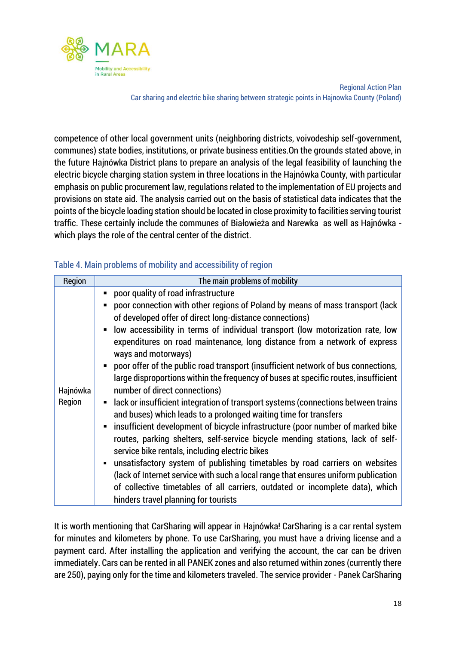

competence of other local government units (neighboring districts, voivodeship self-government, communes) state bodies, institutions, or private business entities.On the grounds stated above, in the future Hajnówka District plans to prepare an analysis of the legal feasibility of launching the electric bicycle charging station system in three locations in the Hajnówka County, with particular emphasis on public procurement law, regulations related to the implementation of EU projects and provisions on state aid. The analysis carried out on the basis of statistical data indicates that the points of the bicycle loading station should be located in close proximity to facilities serving tourist traffic. These certainly include the communes of Białowieża and Narewka as well as Hajnówka which plays the role of the central center of the district.

| Region             | The main problems of mobility                                                                                                                                                                                                                                                                                                                                                                                                                                                                                                                                                                                                                                                                                                                                                                                                                                                                                                                                                                                                                                                                                                                                                                                                                                       |
|--------------------|---------------------------------------------------------------------------------------------------------------------------------------------------------------------------------------------------------------------------------------------------------------------------------------------------------------------------------------------------------------------------------------------------------------------------------------------------------------------------------------------------------------------------------------------------------------------------------------------------------------------------------------------------------------------------------------------------------------------------------------------------------------------------------------------------------------------------------------------------------------------------------------------------------------------------------------------------------------------------------------------------------------------------------------------------------------------------------------------------------------------------------------------------------------------------------------------------------------------------------------------------------------------|
| Hajnówka<br>Region | poor quality of road infrastructure<br>poor connection with other regions of Poland by means of mass transport (lack<br>of developed offer of direct long-distance connections)<br>low accessibility in terms of individual transport (low motorization rate, low<br>expenditures on road maintenance, long distance from a network of express<br>ways and motorways)<br>• poor offer of the public road transport (insufficient network of bus connections,<br>large disproportions within the frequency of buses at specific routes, insufficient<br>number of direct connections)<br>• lack or insufficient integration of transport systems (connections between trains<br>and buses) which leads to a prolonged waiting time for transfers<br>insufficient development of bicycle infrastructure (poor number of marked bike<br>routes, parking shelters, self-service bicycle mending stations, lack of self-<br>service bike rentals, including electric bikes<br>unsatisfactory system of publishing timetables by road carriers on websites<br>(lack of Internet service with such a local range that ensures uniform publication<br>of collective timetables of all carriers, outdated or incomplete data), which<br>hinders travel planning for tourists |

#### Table 4. Main problems of mobility and accessibility of region

It is worth mentioning that CarSharing will appear in Hajnówka! CarSharing is a car rental system for minutes and kilometers by phone. To use CarSharing, you must have a driving license and a payment card. After installing the application and verifying the account, the car can be driven immediately. Cars can be rented in all PANEK zones and also returned within zones (currently there are 250), paying only for the time and kilometers traveled. The service provider - Panek CarSharing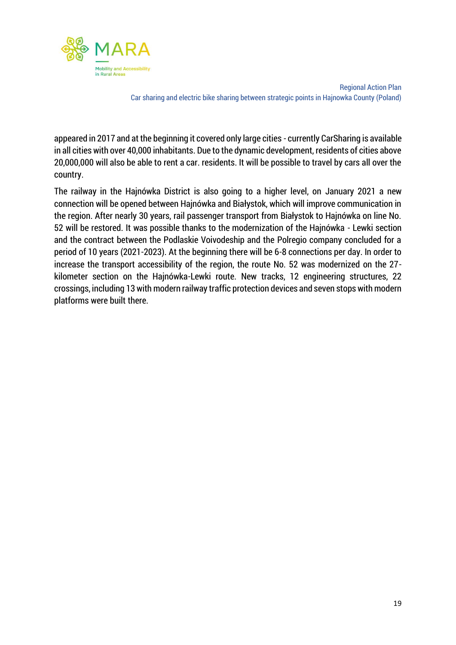

appeared in 2017 and at the beginning it covered only large cities - currently CarSharing is available in all cities with over 40,000 inhabitants. Due to the dynamic development, residents of cities above 20,000,000 will also be able to rent a car. residents. It will be possible to travel by cars all over the country.

The railway in the Hajnówka District is also going to a higher level, on January 2021 a new connection will be opened between Hajnówka and Białystok, which will improve communication in the region. After nearly 30 years, rail passenger transport from Białystok to Hajnówka on line No. 52 will be restored. It was possible thanks to the modernization of the Hajnówka - Lewki section and the contract between the Podlaskie Voivodeship and the Polregio company concluded for a period of 10 years (2021-2023). At the beginning there will be 6-8 connections per day. In order to increase the transport accessibility of the region, the route No. 52 was modernized on the 27 kilometer section on the Hajnówka-Lewki route. New tracks, 12 engineering structures, 22 crossings, including 13 with modern railway traffic protection devices and seven stops with modern platforms were built there.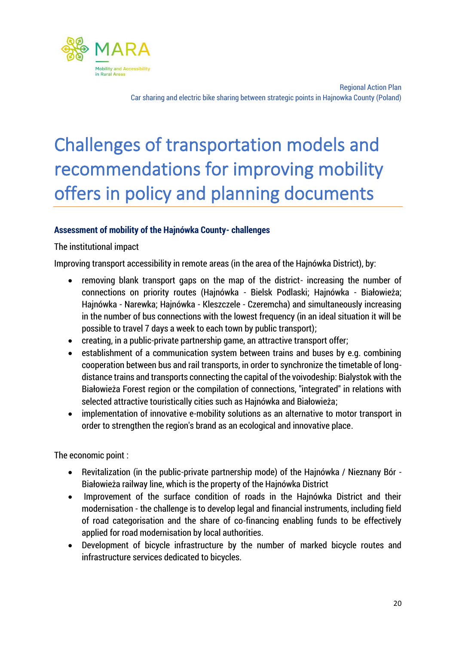

# <span id="page-20-0"></span>Challenges of transportation models and recommendations for improving mobility offers in policy and planning documents

#### **Assessment of mobility of the Hajnówka County- challenges**

#### The institutional impact

Improving transport accessibility in remote areas (in the area of the Hajnówka District), by:

- removing blank transport gaps on the map of the district- increasing the number of connections on priority routes (Hajnówka - Bielsk Podlaski; Hajnówka - Białowieża; Hajnówka - Narewka; Hajnówka - Kleszczele - Czeremcha) and simultaneously increasing in the number of bus connections with the lowest frequency (in an ideal situation it will be possible to travel 7 days a week to each town by public transport);
- creating, in a public-private partnership game, an attractive transport offer;
- establishment of a communication system between trains and buses by e.g. combining cooperation between bus and rail transports, in order to synchronize the timetable of longdistance trains and transports connecting the capital of the voivodeship: Bialystok with the Białowieża Forest region or the compilation of connections, "integrated" in relations with selected attractive touristically cities such as Hajnówka and Białowieża;
- implementation of innovative e-mobility solutions as an alternative to motor transport in order to strengthen the region's brand as an ecological and innovative place.

The economic point :

- Revitalization (in the public-private partnership mode) of the Hajnówka / Nieznany Bór Białowieża railway line, which is the property of the Hajnówka District
- Improvement of the surface condition of roads in the Hajnówka District and their modernisation - the challenge is to develop legal and financial instruments, including field of road categorisation and the share of co-financing enabling funds to be effectively applied for road modernisation by local authorities.
- Development of bicycle infrastructure by the number of marked bicycle routes and infrastructure services dedicated to bicycles.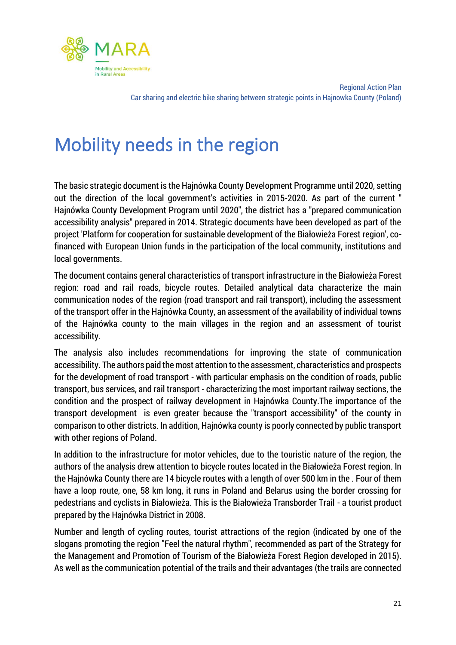

## <span id="page-21-0"></span>Mobility needs in the region

The basic strategic document is the Hajnówka County Development Programme until 2020, setting out the direction of the local government's activities in 2015-2020. As part of the current " Hajnówka County Development Program until 2020", the district has a "prepared communication accessibility analysis" prepared in 2014. Strategic documents have been developed as part of the project 'Platform for cooperation for sustainable development of the Białowieża Forest region', cofinanced with European Union funds in the participation of the local community, institutions and local governments.

The document contains general characteristics of transport infrastructure in the Białowieża Forest region: road and rail roads, bicycle routes. Detailed analytical data characterize the main communication nodes of the region (road transport and rail transport), including the assessment of the transport offer in the Hajnówka County, an assessment of the availability of individual towns of the Hajnówka county to the main villages in the region and an assessment of tourist accessibility.

The analysis also includes recommendations for improving the state of communication accessibility. The authors paid the most attention to the assessment, characteristics and prospects for the development of road transport - with particular emphasis on the condition of roads, public transport, bus services, and rail transport - characterizing the most important railway sections, the condition and the prospect of railway development in Hajnówka County.The importance of the transport development is even greater because the "transport accessibility" of the county in comparison to other districts. In addition, Hajnówka county is poorly connected by public transport with other regions of Poland.

In addition to the infrastructure for motor vehicles, due to the touristic nature of the region, the authors of the analysis drew attention to bicycle routes located in the Białowieża Forest region. In the Hajnówka County there are 14 bicycle routes with a length of over 500 km in the . Four of them have a loop route, one, 58 km long, it runs in Poland and Belarus using the border crossing for pedestrians and cyclists in Białowieża. This is the Białowieża Transborder Trail - a tourist product prepared by the Hajnówka District in 2008.

Number and length of cycling routes, tourist attractions of the region (indicated by one of the slogans promoting the region "Feel the natural rhythm", recommended as part of the Strategy for the Management and Promotion of Tourism of the Białowieża Forest Region developed in 2015). As well as the communication potential of the trails and their advantages (the trails are connected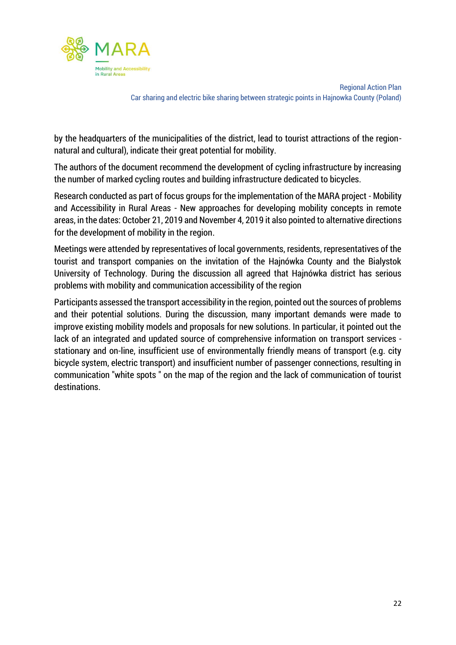

by the headquarters of the municipalities of the district, lead to tourist attractions of the regionnatural and cultural), indicate their great potential for mobility.

The authors of the document recommend the development of cycling infrastructure by increasing the number of marked cycling routes and building infrastructure dedicated to bicycles.

Research conducted as part of focus groups for the implementation of the MARA project - Mobility and Accessibility in Rural Areas - New approaches for developing mobility concepts in remote areas, in the dates: October 21, 2019 and November 4, 2019 it also pointed to alternative directions for the development of mobility in the region.

Meetings were attended by representatives of local governments, residents, representatives of the tourist and transport companies on the invitation of the Hajnówka County and the Bialystok University of Technology. During the discussion all agreed that Hajnówka district has serious problems with mobility and communication accessibility of the region

Participants assessed the transport accessibility in the region, pointed out the sources of problems and their potential solutions. During the discussion, many important demands were made to improve existing mobility models and proposals for new solutions. In particular, it pointed out the lack of an integrated and updated source of comprehensive information on transport services stationary and on-line, insufficient use of environmentally friendly means of transport (e.g. city bicycle system, electric transport) and insufficient number of passenger connections, resulting in communication "white spots " on the map of the region and the lack of communication of tourist destinations.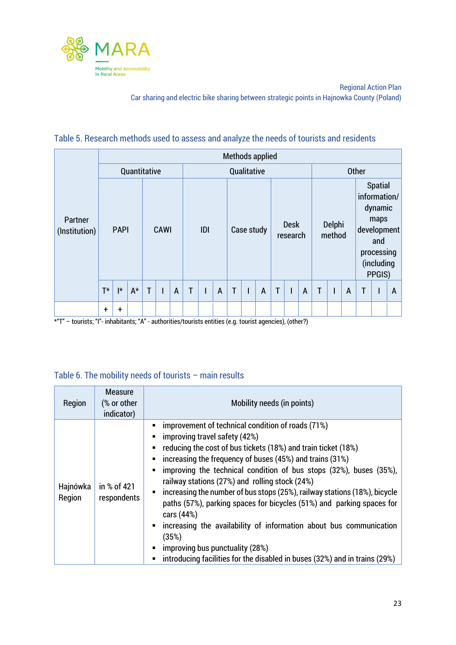

#### Table 5. Research methods used to assess and analyze the needs of tourists and residents

|                                                                                                            |       |              |       |              |      |                |   |     |                |   |            | Methods applied |   |                         |   |   |                  |   |   |                                                                                                               |   |
|------------------------------------------------------------------------------------------------------------|-------|--------------|-------|--------------|------|----------------|---|-----|----------------|---|------------|-----------------|---|-------------------------|---|---|------------------|---|---|---------------------------------------------------------------------------------------------------------------|---|
|                                                                                                            |       | Quantitative |       |              |      |                |   |     | Qualitative    |   |            |                 |   |                         |   |   | <b>Other</b>     |   |   |                                                                                                               |   |
| Partner<br>(Institution)                                                                                   |       | <b>PAPI</b>  |       |              | CAWI |                |   | IDI |                |   | Case study |                 |   | <b>Desk</b><br>research |   |   | Delphi<br>method |   |   | <b>Spatial</b><br>information/<br>dynamic<br>maps<br>development<br>and<br>processing<br>(including<br>PPGIS) |   |
|                                                                                                            | $T^*$ | $\vert$ *    | $A^*$ | $\mathsf{T}$ | ı    | $\overline{A}$ | T |     | $\overline{A}$ | T |            | $\overline{A}$  | T |                         | A | T |                  | A | T |                                                                                                               | A |
| $*$ "T" – tourists: "I"- inhabitants: "A" - authorities/tourists entities (e.g. tourist agencies) (other?) | t     | $\ddagger$   |       |              |      |                |   |     |                |   |            |                 |   |                         |   |   |                  |   |   |                                                                                                               |   |

\*"T" – tourists; "I"- inhabitants; "A" - authorities/tourists entities (e.g. tourist agencies), (other?)

#### Table 6. The mobility needs of tourists – main results

| Region             | <b>Measure</b><br>(% or other<br>indicator) | Mobility needs (in points)                                                                                                                                                                                                                                                                                                                                                                                                                                                                                                                                                                                                                                                                                                                                                                                                                          |
|--------------------|---------------------------------------------|-----------------------------------------------------------------------------------------------------------------------------------------------------------------------------------------------------------------------------------------------------------------------------------------------------------------------------------------------------------------------------------------------------------------------------------------------------------------------------------------------------------------------------------------------------------------------------------------------------------------------------------------------------------------------------------------------------------------------------------------------------------------------------------------------------------------------------------------------------|
| Hajnówka<br>Region | in % of 421<br>respondents                  | improvement of technical condition of roads (71%)<br>$\blacksquare$<br>improving travel safety (42%)<br>$\blacksquare$<br>reducing the cost of bus tickets (18%) and train ticket (18%)<br>п<br>increasing the frequency of buses (45%) and trains (31%)<br>$\blacksquare$<br>improving the technical condition of bus stops (32%), buses (35%),<br>$\blacksquare$<br>railway stations (27%) and rolling stock (24%)<br>increasing the number of bus stops (25%), railway stations (18%), bicycle<br>$\blacksquare$<br>paths (57%), parking spaces for bicycles (51%) and parking spaces for<br>cars (44%)<br>increasing the availability of information about bus communication<br>$\blacksquare$<br>(35%)<br>improving bus punctuality (28%)<br>$\blacksquare$<br>introducing facilities for the disabled in buses (32%) and in trains (29%)<br>П |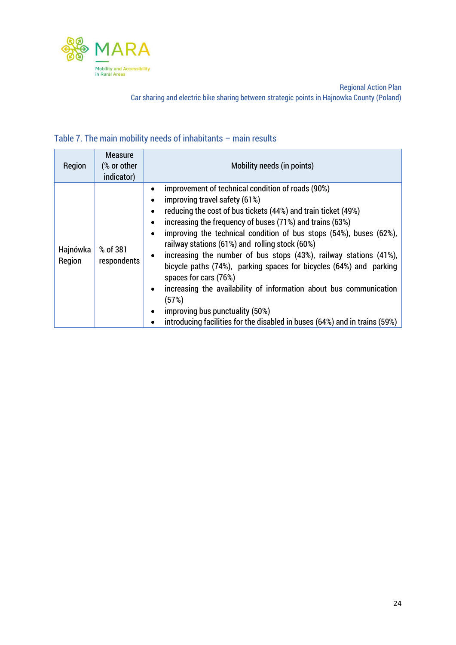

#### Table 7. The main mobility needs of inhabitants – main results

| Region             | <b>Measure</b><br>(% or other<br>indicator) | Mobility needs (in points)                                                                                                                                                                                                                                                                                                                                                                                                                                                                                                                                                                                                                                                                                                                                                     |
|--------------------|---------------------------------------------|--------------------------------------------------------------------------------------------------------------------------------------------------------------------------------------------------------------------------------------------------------------------------------------------------------------------------------------------------------------------------------------------------------------------------------------------------------------------------------------------------------------------------------------------------------------------------------------------------------------------------------------------------------------------------------------------------------------------------------------------------------------------------------|
| Hajnówka<br>Region | % of 381<br>respondents                     | improvement of technical condition of roads (90%)<br>improving travel safety (61%)<br>٠<br>reducing the cost of bus tickets (44%) and train ticket (49%)<br>$\bullet$<br>increasing the frequency of buses (71%) and trains (63%)<br>٠<br>improving the technical condition of bus stops (54%), buses (62%),<br>$\bullet$<br>railway stations (61%) and rolling stock (60%)<br>increasing the number of bus stops (43%), railway stations (41%),<br>٠<br>bicycle paths (74%), parking spaces for bicycles (64%) and parking<br>spaces for cars (76%)<br>increasing the availability of information about bus communication<br>$\bullet$<br>(57%)<br>improving bus punctuality (50%)<br>$\bullet$<br>introducing facilities for the disabled in buses (64%) and in trains (59%) |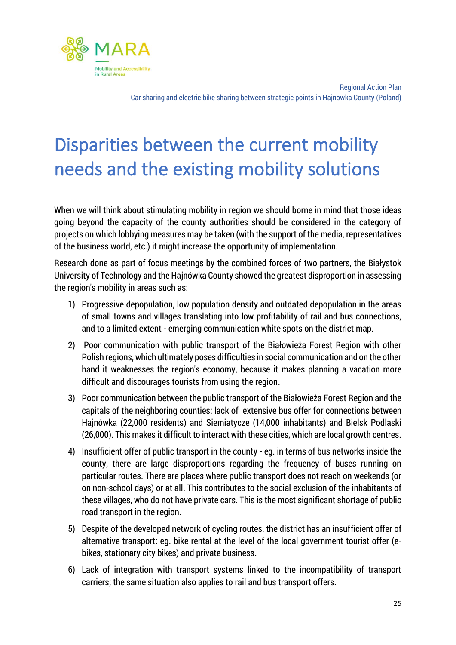

# <span id="page-25-0"></span>Disparities between the current mobility needs and the existing mobility solutions

When we will think about stimulating mobility in region we should borne in mind that those ideas going beyond the capacity of the county authorities should be considered in the category of projects on which lobbying measures may be taken (with the support of the media, representatives of the business world, etc.) it might increase the opportunity of implementation.

Research done as part of focus meetings by the combined forces of two partners, the Białystok University of Technology and the Hajnówka County showed the greatest disproportion in assessing the region's mobility in areas such as:

- 1) Progressive depopulation, low population density and outdated depopulation in the areas of small towns and villages translating into low profitability of rail and bus connections, and to a limited extent - emerging communication white spots on the district map.
- 2) Poor communication with public transport of the Białowieża Forest Region with other Polish regions, which ultimately poses difficulties in social communication and on the other hand it weaknesses the region's economy, because it makes planning a vacation more difficult and discourages tourists from using the region.
- 3) Poor communication between the public transport of the Białowieża Forest Region and the capitals of the neighboring counties: lack of extensive bus offer for connections between Hajnówka (22,000 residents) and Siemiatycze (14,000 inhabitants) and Bielsk Podlaski (26,000). This makes it difficult to interact with these cities, which are local growth centres.
- 4) Insufficient offer of public transport in the county eg. in terms of bus networks inside the county, there are large disproportions regarding the frequency of buses running on particular routes. There are places where public transport does not reach on weekends (or on non-school days) or at all. This contributes to the social exclusion of the inhabitants of these villages, who do not have private cars. This is the most significant shortage of public road transport in the region.
- 5) Despite of the developed network of cycling routes, the district has an insufficient offer of alternative transport: eg. bike rental at the level of the local government tourist offer (ebikes, stationary city bikes) and private business.
- 6) Lack of integration with transport systems linked to the incompatibility of transport carriers; the same situation also applies to rail and bus transport offers.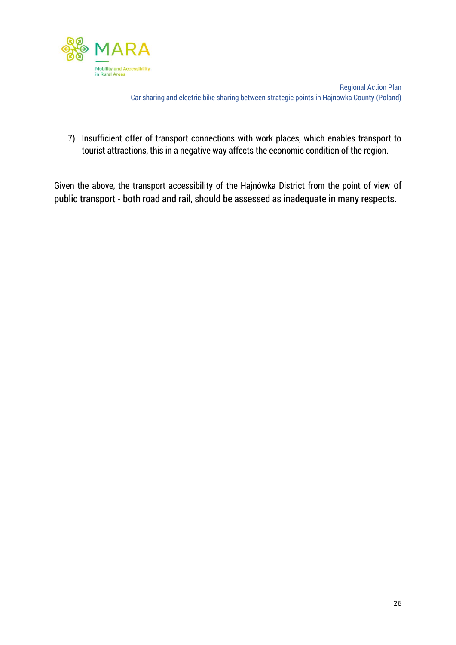

7) Insufficient offer of transport connections with work places, which enables transport to tourist attractions, this in a negative way affects the economic condition of the region.

Given the above, the transport accessibility of the Hajnówka District from the point of view of public transport - both road and rail, should be assessed as inadequate in many respects.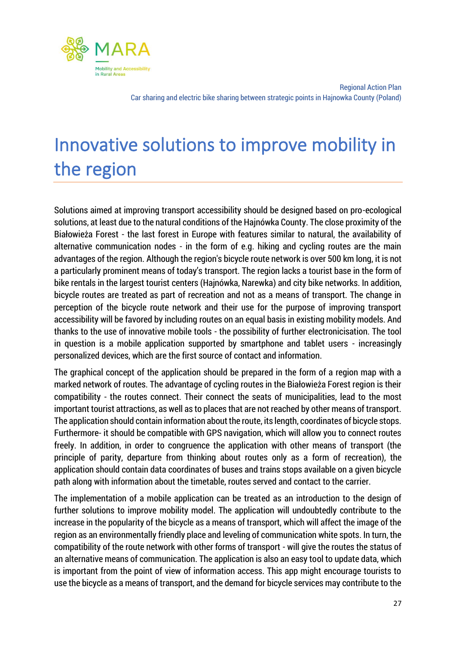

# <span id="page-27-0"></span>Innovative solutions to improve mobility in the region

Solutions aimed at improving transport accessibility should be designed based on pro-ecological solutions, at least due to the natural conditions of the Hajnówka County. The close proximity of the Białowieża Forest - the last forest in Europe with features similar to natural, the availability of alternative communication nodes - in the form of e.g. hiking and cycling routes are the main advantages of the region. Although the region's bicycle route network is over 500 km long, it is not a particularly prominent means of today's transport. The region lacks a tourist base in the form of bike rentals in the largest tourist centers (Hajnówka, Narewka) and city bike networks. In addition, bicycle routes are treated as part of recreation and not as a means of transport. The change in perception of the bicycle route network and their use for the purpose of improving transport accessibility will be favored by including routes on an equal basis in existing mobility models. And thanks to the use of innovative mobile tools - the possibility of further electronicisation. The tool in question is a mobile application supported by smartphone and tablet users - increasingly personalized devices, which are the first source of contact and information.

The graphical concept of the application should be prepared in the form of a region map with a marked network of routes. The advantage of cycling routes in the Białowieża Forest region is their compatibility - the routes connect. Their connect the seats of municipalities, lead to the most important tourist attractions, as well as to places that are not reached by other means of transport. The application should contain information about the route, its length, coordinates of bicycle stops. Furthermore- it should be compatible with GPS navigation, which will allow you to connect routes freely. In addition, in order to congruence the application with other means of transport (the principle of parity, departure from thinking about routes only as a form of recreation), the application should contain data coordinates of buses and trains stops available on a given bicycle path along with information about the timetable, routes served and contact to the carrier.

The implementation of a mobile application can be treated as an introduction to the design of further solutions to improve mobility model. The application will undoubtedly contribute to the increase in the popularity of the bicycle as a means of transport, which will affect the image of the region as an environmentally friendly place and leveling of communication white spots. In turn, the compatibility of the route network with other forms of transport - will give the routes the status of an alternative means of communication. The application is also an easy tool to update data, which is important from the point of view of information access. This app might encourage tourists to use the bicycle as a means of transport, and the demand for bicycle services may contribute to the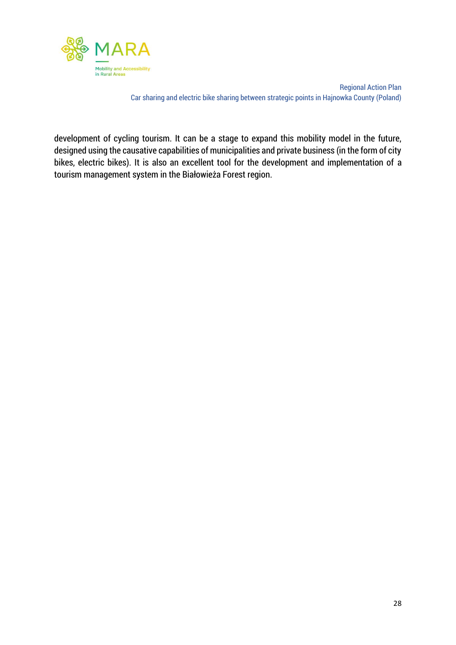

development of cycling tourism. It can be a stage to expand this mobility model in the future, designed using the causative capabilities of municipalities and private business (in the form of city bikes, electric bikes). It is also an excellent tool for the development and implementation of a tourism management system in the Białowieża Forest region.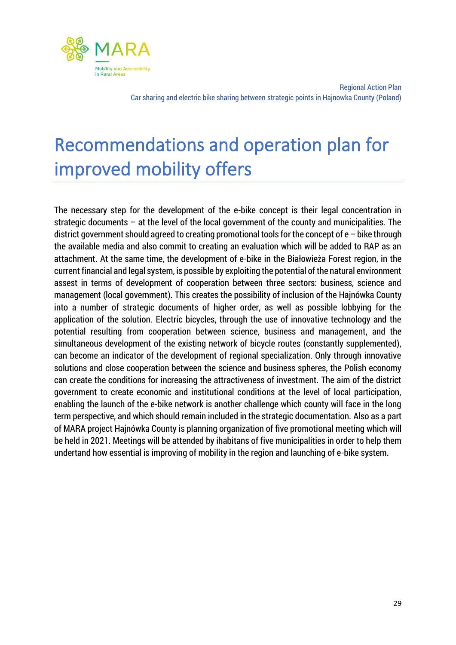

# <span id="page-29-0"></span>Recommendations and operation plan for improved mobility offers

The necessary step for the development of the e-bike concept is their legal concentration in strategic documents – at the level of the local government of the county and municipalities. The district government should agreed to creating promotional tools for the concept of e – bike through the available media and also commit to creating an evaluation which will be added to RAP as an attachment. At the same time, the development of e-bike in the Białowieża Forest region, in the current financial and legal system, is possible by exploiting the potential of the natural environment assest in terms of development of cooperation between three sectors: business, science and management (local government). This creates the possibility of inclusion of the Hajnówka County into a number of strategic documents of higher order, as well as possible lobbying for the application of the solution. Electric bicycles, through the use of innovative technology and the potential resulting from cooperation between science, business and management, and the simultaneous development of the existing network of bicycle routes (constantly supplemented), can become an indicator of the development of regional specialization. Only through innovative solutions and close cooperation between the science and business spheres, the Polish economy can create the conditions for increasing the attractiveness of investment. The aim of the district government to create economic and institutional conditions at the level of local participation, enabling the launch of the e-bike network is another challenge which county will face in the long term perspective, and which should remain included in the strategic documentation. Also as a part of MARA project Hajnówka County is planning organization of five promotional meeting which will be held in 2021. Meetings will be attended by ihabitans of five municipalities in order to help them undertand how essential is improving of mobility in the region and launching of e-bike system.